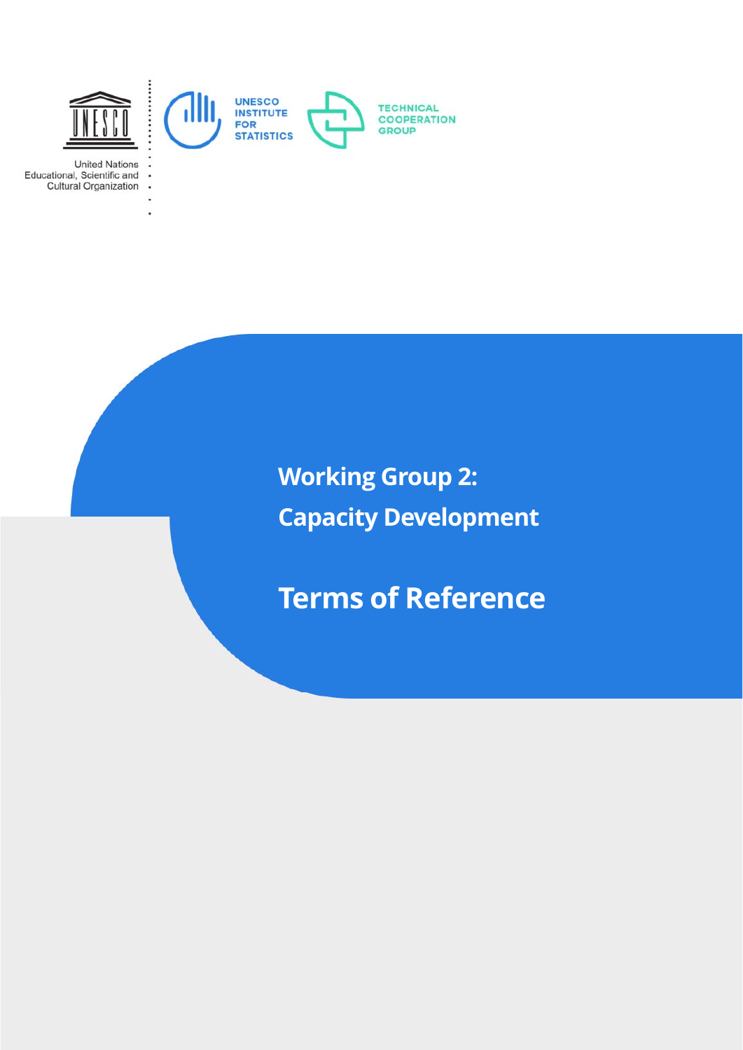

**United Nations** Educational, Scientific and **Cultural Organization** 

> i. ä,

> > **Working Group 2: Capacity Development**

**Terms of Reference**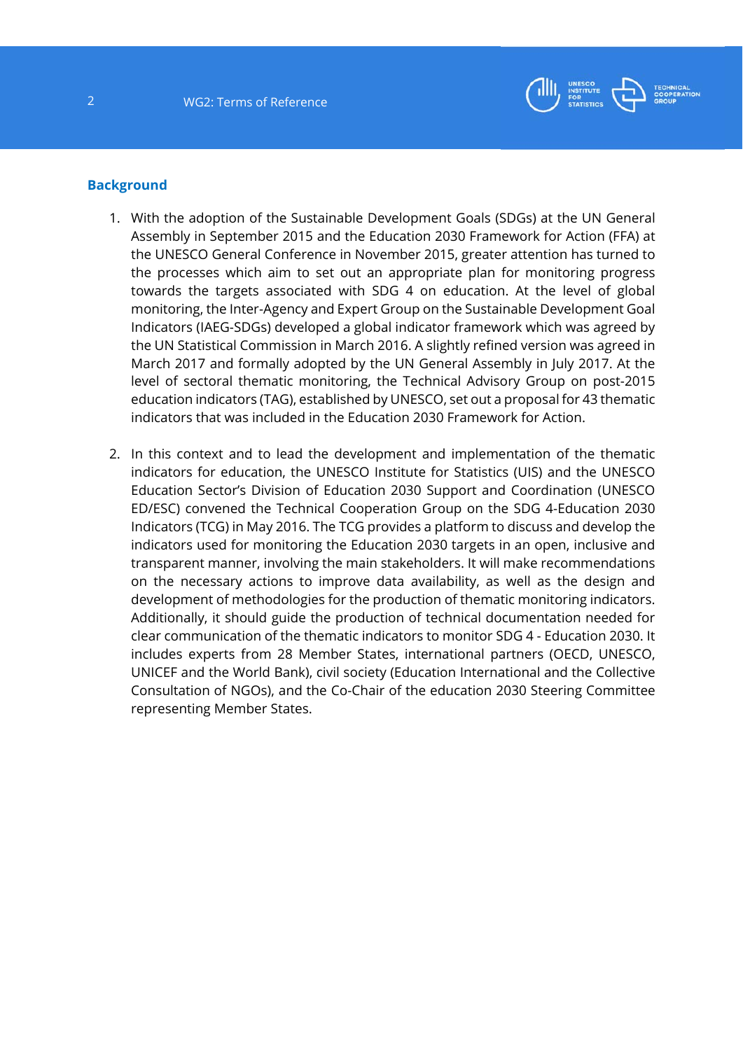

### **Background**

- 1. With the adoption of the Sustainable Development Goals (SDGs) at the UN General Assembly in September 2015 and the Education 2030 Framework for Action (FFA) at the UNESCO General Conference in November 2015, greater attention has turned to the processes which aim to set out an appropriate plan for monitoring progress towards the targets associated with SDG 4 on education. At the level of global monitoring, the Inter-Agency and Expert Group on the Sustainable Development Goal Indicators (IAEG-SDGs) developed a global indicator framework which was agreed by the UN Statistical Commission in March 2016. A slightly refined version was agreed in March 2017 and formally adopted by the UN General Assembly in July 2017. At the level of sectoral thematic monitoring, the Technical Advisory Group on post-2015 education indicators (TAG), established by UNESCO, set out a proposal for 43 thematic indicators that was included in the Education 2030 Framework for Action.
- 2. In this context and to lead the development and implementation of the thematic indicators for education, the UNESCO Institute for Statistics (UIS) and the UNESCO Education Sector's Division of Education 2030 Support and Coordination (UNESCO ED/ESC) convened the Technical Cooperation Group on the SDG 4-Education 2030 Indicators (TCG) in May 2016. The TCG provides a platform to discuss and develop the indicators used for monitoring the Education 2030 targets in an open, inclusive and transparent manner, involving the main stakeholders. It will make recommendations on the necessary actions to improve data availability, as well as the design and development of methodologies for the production of thematic monitoring indicators. Additionally, it should guide the production of technical documentation needed for clear communication of the thematic indicators to monitor SDG 4 - Education 2030. It includes experts from 28 Member States, international partners (OECD, UNESCO, UNICEF and the World Bank), civil society (Education International and the Collective Consultation of NGOs), and the Co-Chair of the education 2030 Steering Committee representing Member States.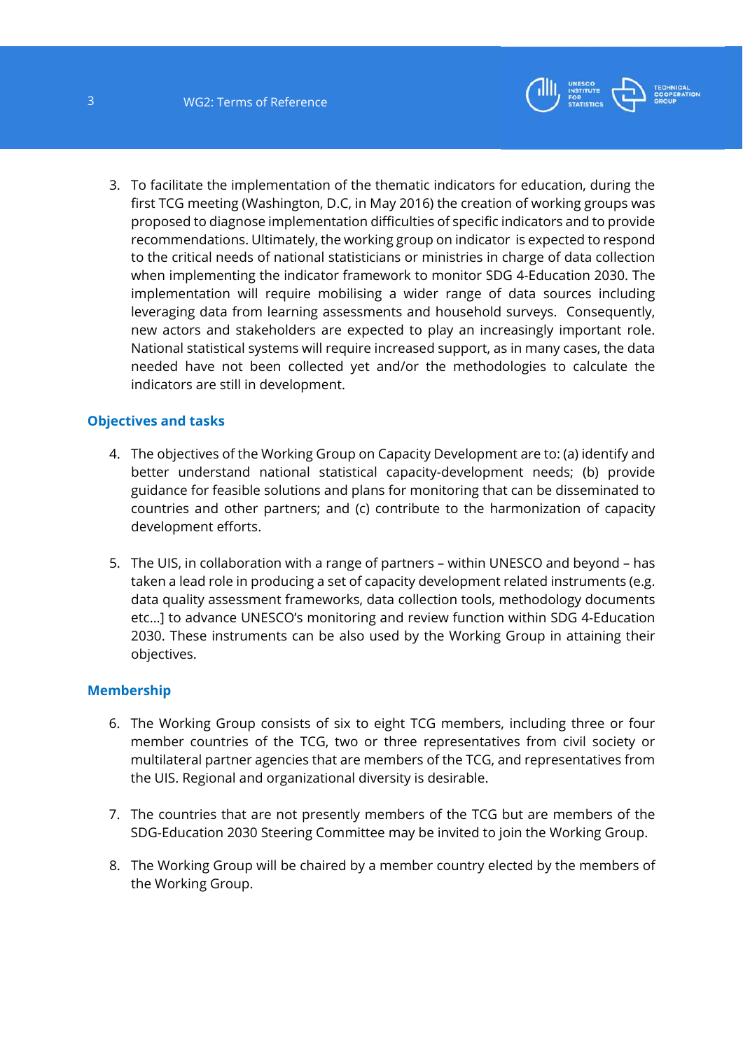

3. To facilitate the implementation of the thematic indicators for education, during the first TCG meeting (Washington, D.C, in May 2016) the creation of working groups was proposed to diagnose implementation difficulties of specific indicators and to provide recommendations. Ultimately, the working group on indicator is expected to respond to the critical needs of national statisticians or ministries in charge of data collection when implementing the indicator framework to monitor SDG 4-Education 2030. The implementation will require mobilising a wider range of data sources including leveraging data from learning assessments and household surveys. Consequently, new actors and stakeholders are expected to play an increasingly important role. National statistical systems will require increased support, as in many cases, the data needed have not been collected yet and/or the methodologies to calculate the indicators are still in development.

# **Objectives and tasks**

- 4. The objectives of the Working Group on Capacity Development are to: (a) identify and better understand national statistical capacity-development needs; (b) provide guidance for feasible solutions and plans for monitoring that can be disseminated to countries and other partners; and (c) contribute to the harmonization of capacity development efforts.
- 5. The UIS, in collaboration with a range of partners within UNESCO and beyond has taken a lead role in producing a set of capacity development related instruments (e.g. data quality assessment frameworks, data collection tools, methodology documents etc…] to advance UNESCO's monitoring and review function within SDG 4-Education 2030. These instruments can be also used by the Working Group in attaining their objectives.

### **Membership**

- 6. The Working Group consists of six to eight TCG members, including three or four member countries of the TCG, two or three representatives from civil society or multilateral partner agencies that are members of the TCG, and representatives from the UIS. Regional and organizational diversity is desirable.
- 7. The countries that are not presently members of the TCG but are members of the SDG-Education 2030 Steering Committee may be invited to join the Working Group.
- 8. The Working Group will be chaired by a member country elected by the members of the Working Group.